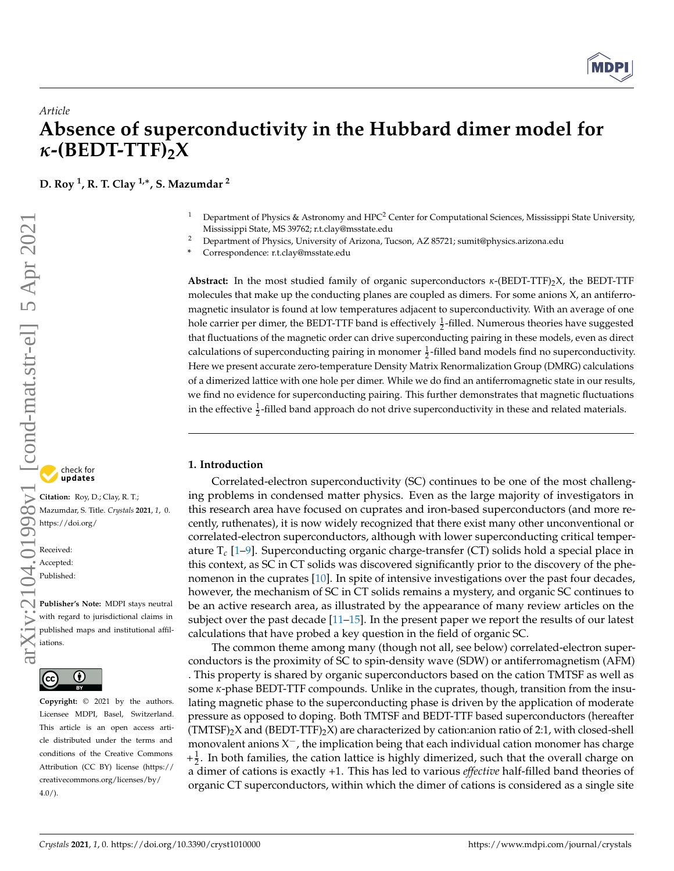

# *Article* **Absence of superconductivity in the Hubbard dimer model for** *κ***-(BEDT-TTF)2X**

**D. Roy <sup>1</sup> , R. T. Clay 1,**<sup>∗</sup> **, S. Mazumdar <sup>2</sup>**

- <sup>1</sup> Department of Physics & Astronomy and HPC<sup>2</sup> Center for Computational Sciences, Mississippi State University, Mississippi State, MS 39762; r.t.clay@msstate.edu
- <sup>2</sup> Department of Physics, University of Arizona, Tucson, AZ 85721; sumit@physics.arizona.edu
- **\*** Correspondence: r.t.clay@msstate.edu

**Abstract:** In the most studied family of organic superconductors *κ*-(BEDT-TTF)2X, the BEDT-TTF molecules that make up the conducting planes are coupled as dimers. For some anions X, an antiferromagnetic insulator is found at low temperatures adjacent to superconductivity. With an average of one hole carrier per dimer, the BEDT-TTF band is effectively  $\frac{1}{2}$ -filled. Numerous theories have suggested that fluctuations of the magnetic order can drive superconducting pairing in these models, even as direct calculations of superconducting pairing in monomer  $\frac{1}{2}$ -filled band models find no superconductivity. Here we present accurate zero-temperature Density Matrix Renormalization Group (DMRG) calculations of a dimerized lattice with one hole per dimer. While we do find an antiferromagnetic state in our results, we find no evidence for superconducting pairing. This further demonstrates that magnetic fluctuations in the effective  $\frac{1}{2}$ -filled band approach do not drive superconductivity in these and related materials.

# **1. Introduction**

Correlated-electron superconductivity (SC) continues to be one of the most challenging problems in condensed matter physics. Even as the large majority of investigators in this research area have focused on cuprates and iron-based superconductors (and more recently, ruthenates), it is now widely recognized that there exist many other unconventional or correlated-electron superconductors, although with lower superconducting critical temperature T*c* [\[1](#page-7-0)[–9\]](#page-7-1). Superconducting organic charge-transfer (CT) solids hold a special place in this context, as SC in CT solids was discovered significantly prior to the discovery of the phenomenon in the cuprates [\[10\]](#page-7-2). In spite of intensive investigations over the past four decades, however, the mechanism of SC in CT solids remains a mystery, and organic SC continues to be an active research area, as illustrated by the appearance of many review articles on the subject over the past decade [\[11](#page-7-3)[–15\]](#page-7-4). In the present paper we report the results of our latest calculations that have probed a key question in the field of organic SC. Crystals **2021**<br>
Properties of the second transmission of the constrained term in the crystal of the components of the components of the components of the components of the components of the components of the components of

The common theme among many (though not all, see below) correlated-electron superconductors is the proximity of SC to spin-density wave (SDW) or antiferromagnetism (AFM) . This property is shared by organic superconductors based on the cation TMTSF as well as some *κ*-phase BEDT-TTF compounds. Unlike in the cuprates, though, transition from the insulating magnetic phase to the superconducting phase is driven by the application of moderate pressure as opposed to doping. Both TMTSF and BEDT-TTF based superconductors (hereafter  $(TMTSF)_{2}X$  and  $(BEDT-TTF)_{2}X$  are characterized by cation:anion ratio of 2:1, with closed-shell monovalent anions  $X^-$ , the implication being that each individual cation monomer has charge  $+\frac{1}{2}$ . In both families, the cation lattice is highly dimerized, such that the overall charge on a dimer of cations is exactly +1. This has led to various *effective* half-filled band theories of organic CT superconductors, within which the dimer of cations is considered as a single site

check for<br>**undates** 

**Citation:** Roy, D.; Clay, R. T.; Mazumdar, S. Title. *Crystals* **2021**, *1*, 0. [https://doi.org/](https://doi.org/10.3390/cryst1010000)

Received: Accepted: Published:

**Publisher's Note:** MDPI stays neutral with regard to jurisdictional claims in published maps and institutional affiliations.



**Copyright:** © 2021 by the authors. Licensee MDPI, Basel, Switzerland. This article is an open access article distributed under the terms and conditions of the Creative Commons Attribution (CC BY) license (https:/[/](https://creativecommons.org/licenses/by/4.0/) [creativecommons.org/licenses/by/](https://creativecommons.org/licenses/by/4.0/) 4.0/).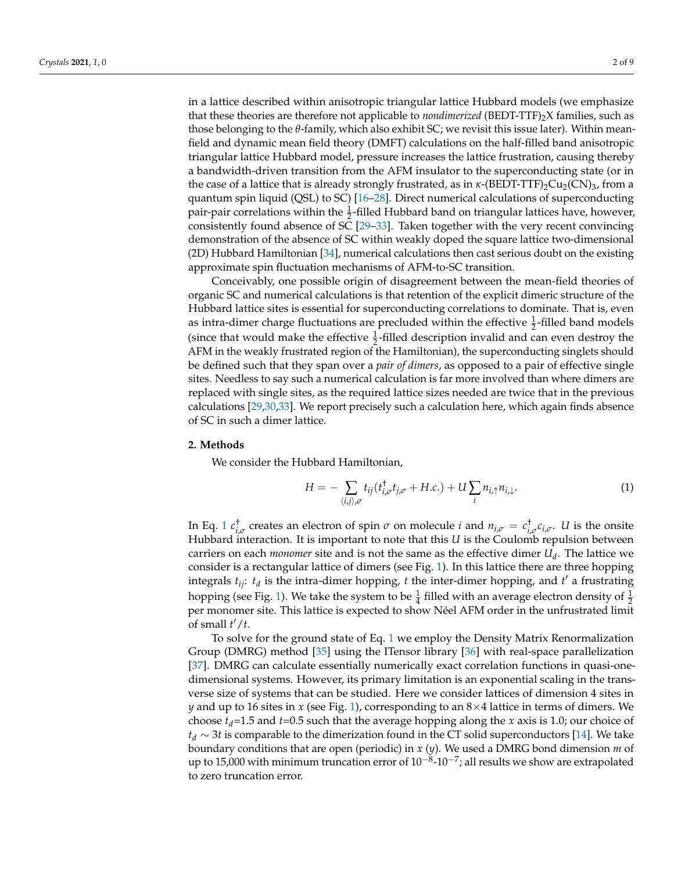in a lattice described within anisotropic triangular lattice Hubbard models (we emphasize that these theories are therefore not applicable to *nondimerized* (BEDT-TTF)2X families, such as those belonging to the *θ*-family, which also exhibit SC; we revisit this issue later). Within meanfield and dynamic mean field theory (DMFT) calculations on the half-filled band anisotropic triangular lattice Hubbard model, pressure increases the lattice frustration, causing thereby a bandwidth-driven transition from the AFM insulator to the superconducting state (or in the case of a lattice that is already strongly frustrated, as in *κ*-(BEDT-TTF)<sub>2</sub>Cu<sub>2</sub>(CN)<sub>3</sub>, from a quantum spin liquid (QSL) to SC) [\[16](#page-7-5)[–28\]](#page-8-0). Direct numerical calculations of superconducting pair-pair correlations within the  $\frac{1}{2}$ -filled Hubbard band on triangular lattices have, however, consistently found absence of SC [\[29–](#page-8-1)[33\]](#page-8-2). Taken together with the very recent convincing demonstration of the absence of SC within weakly doped the square lattice two-dimensional (2D) Hubbard Hamiltonian [\[34\]](#page-8-3), numerical calculations then cast serious doubt on the existing approximate spin fluctuation mechanisms of AFM-to-SC transition.

Conceivably, one possible origin of disagreement between the mean-field theories of organic SC and numerical calculations is that retention of the explicit dimeric structure of the Hubbard lattice sites is essential for superconducting correlations to dominate. That is, even as intra-dimer charge fluctuations are precluded within the effective  $\frac{1}{2}$ -filled band models (since that would make the effective  $\frac{1}{2}$ -filled description invalid and can even destroy the AFM in the weakly frustrated region of the Hamiltonian), the superconducting singlets should be defined such that they span over a *pair of dimers*, as opposed to a pair of effective single sites. Needless to say such a numerical calculation is far more involved than where dimers are replaced with single sites, as the required lattice sizes needed are twice that in the previous calculations [\[29](#page-8-1)[,30,](#page-8-4)[33\]](#page-8-2). We report precisely such a calculation here, which again finds absence of SC in such a dimer lattice.

#### **2. Methods**

We consider the Hubbard Hamiltonian,

<span id="page-1-0"></span>
$$
H = -\sum_{\langle i,j\rangle,\sigma} t_{ij}(t_{i,\sigma}^{\dagger}t_{j,\sigma} + H.c.) + U\sum_{i} n_{i,\uparrow}n_{i,\downarrow}.
$$
 (1)

In Eq. [1](#page-1-0)  $c^{\dagger}_{i,\sigma}$  creates an electron of spin  $\sigma$  on molecule *i* and  $n_{i,\sigma} = c^{\dagger}_{i,\sigma} c_{i,\sigma}$ . *U* is the onsite Hubbard interaction. It is important to note that this *U* is the Coulomb repulsion between carriers on each *monomer* site and is not the same as the effective dimer *U<sup>d</sup>* . The lattice we consider is a rectangular lattice of dimers (see Fig. [1\)](#page-2-0). In this lattice there are three hopping integrals  $t_{ij}$ :  $t_d$  is the intra-dimer hopping,  $t$  the inter-dimer hopping, and  $t'$  a frustrating hopping (see Fig. [1\)](#page-2-0). We take the system to be  $\frac{1}{4}$  filled with an average electron density of  $\frac{1}{2}$ per monomer site. This lattice is expected to show Néel AFM order in the unfrustrated limit of small  $t'/t$ .

To solve for the ground state of Eq. [1](#page-1-0) we employ the Density Matrix Renormalization Group (DMRG) method [\[35\]](#page-8-5) using the ITensor library [\[36\]](#page-8-6) with real-space parallelization [\[37\]](#page-8-7). DMRG can calculate essentially numerically exact correlation functions in quasi-onedimensional systems. However, its primary limitation is an exponential scaling in the transverse size of systems that can be studied. Here we consider lattices of dimension 4 sites in *y* and up to 16 sites in *x* (see Fig. [1\)](#page-2-0), corresponding to an 8×4 lattice in terms of dimers. We choose  $t_d$ =1.5 and  $t$ =0.5 such that the average hopping along the *x* axis is 1.0; our choice of *t<sup>d</sup>* ∼ 3*t* is comparable to the dimerization found in the CT solid superconductors [\[14\]](#page-7-6). We take boundary conditions that are open (periodic) in *x* (*y*). We used a DMRG bond dimension *m* of up to 15,000 with minimum truncation error of 10<sup>-8</sup>-10<sup>-7</sup>; all results we show are extrapolated to zero truncation error.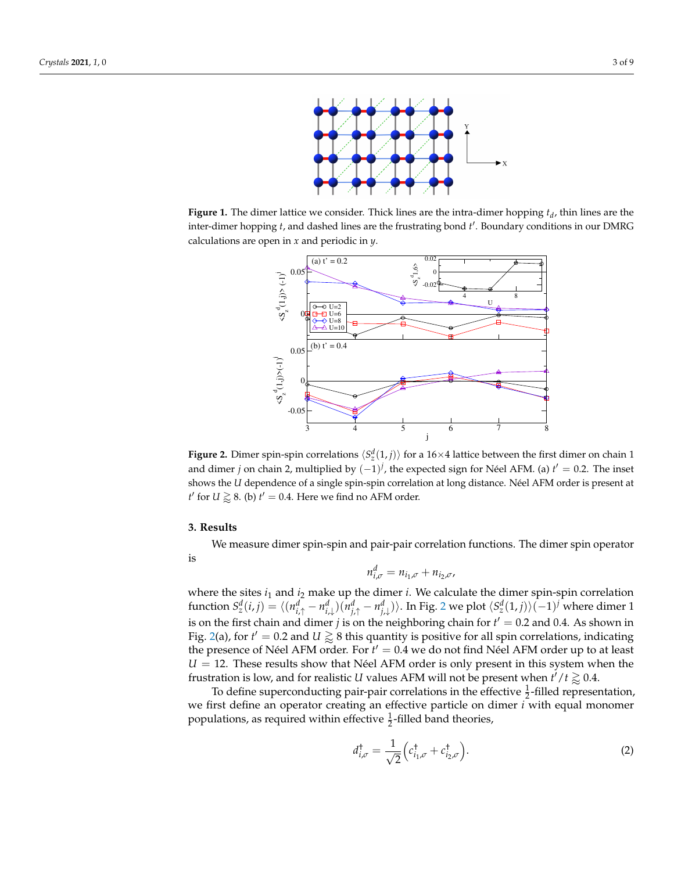<span id="page-2-0"></span>

<span id="page-2-1"></span>**Figure 1.** The dimer lattice we consider. Thick lines are the intra-dimer hopping *t<sup>d</sup>* , thin lines are the inter-dimer hopping *t*, and dashed lines are the frustrating bond *t'*. Boundary conditions in our DMRG calculations are open in *x* and periodic in *y*.



**Figure 2.** Dimer spin-spin correlations  $\langle S_z^d(1,j) \rangle$  for a 16×4 lattice between the first dimer on chain 1 and dimer *j* on chain 2, multiplied by  $(-1)^j$ , the expected sign for Néel AFM. (a) *t*<sup>*'*</sup> = 0.2. The inset shows the *U* dependence of a single spin-spin correlation at long distance. Néel AFM order is present at *t*' for  $U \gtrapprox 8$ . (b)  $t' = 0.4$ . Here we find no AFM order.

#### **3. Results**

We measure dimer spin-spin and pair-pair correlation functions. The dimer spin operator

is

$$
n_{i,\sigma}^d = n_{i_1,\sigma} + n_{i_2,\sigma},
$$

where the sites *i*<sup>1</sup> and *i*<sup>2</sup> make up the dimer *i*. We calculate the dimer spin-spin correlation function  $S_z^d(i,j)=\langle (n_{i,\uparrow}^d-n_{i,\downarrow}^d)(n_{j,\uparrow}^d-n_{j,\downarrow}^d)\rangle.$  In Fig. [2](#page-2-1) we plot  $\langle S_z^d(1,j)\rangle(-1)^j$  where dimer 1 is on the first chain and dimer *j* is on the neighboring chain for  $t' = 0.2$  and 0.4. As shown in Fig. [2\(](#page-2-1)a), for  $t' = 0.2$  and  $U \gtrapprox 8$  this quantity is positive for all spin correlations, indicating the presence of Néel AFM order. For  $t' = 0.4$  we do not find Néel AFM order up to at least  $U = 12$ . These results show that Néel AFM order is only present in this system when the frustration is low, and for realistic *U* values AFM will not be present when  $t'/t \gtrapprox 0.4$ .

To define superconducting pair-pair correlations in the effective  $\frac{1}{2}$ -filled representation, we first define an operator creating an effective particle on dimer *i* with equal monomer populations, as required within effective  $\frac{1}{2}$ -filled band theories,

$$
d_{i,\sigma}^{\dagger} = \frac{1}{\sqrt{2}} \left( c_{i_1,\sigma}^{\dagger} + c_{i_2,\sigma}^{\dagger} \right). \tag{2}
$$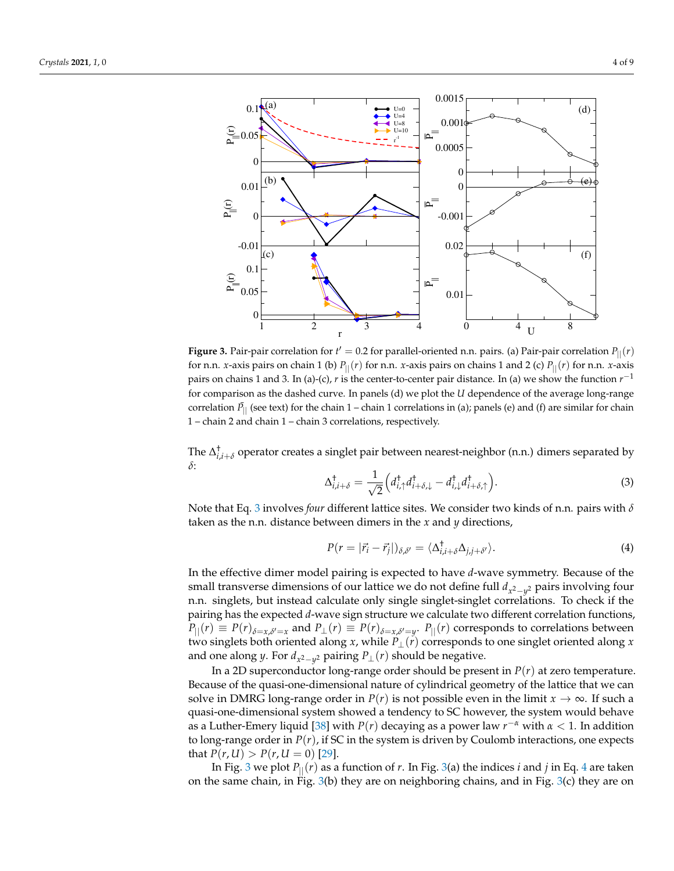<span id="page-3-1"></span>

**Figure 3.** Pair-pair correlation for  $t' = 0.2$  for parallel-oriented n.n. pairs. (a) Pair-pair correlation  $P_{||}(r)$ for n.n. *x*-axis pairs on chain 1 (b)  $P_{\parallel}(r)$  for n.n. *x*-axis pairs on chains 1 and 2 (c)  $P_{\parallel}(r)$  for n.n. *x*-axis pairs on chains 1 and 3. In (a)-(c), *r* is the center-to-center pair distance. In (a) we show the function  $r^{-1}$ for comparison as the dashed curve. In panels (d) we plot the *U* dependence of the average long-range correlation  $\bar{P}_{||}$  (see text) for the chain 1 – chain 1 correlations in (a); panels (e) and (f) are similar for chain 1 – chain 2 and chain 1 – chain 3 correlations, respectively.

The  $\Delta^{\dagger}_{i,i+\delta}$  operator creates a singlet pair between nearest-neighbor (n.n.) dimers separated by *δ*:

<span id="page-3-0"></span>
$$
\Delta_{i,i+\delta}^{\dagger} = \frac{1}{\sqrt{2}} \Big( d_{i,\uparrow}^{\dagger} d_{i+\delta,\downarrow}^{\dagger} - d_{i,\downarrow}^{\dagger} d_{i+\delta,\uparrow}^{\dagger} \Big). \tag{3}
$$

Note that Eq. [3](#page-3-0) involves *four* different lattice sites. We consider two kinds of n.n. pairs with *δ* taken as the n.n. distance between dimers in the *x* and *y* directions,

<span id="page-3-2"></span>
$$
P(r=|\vec{r}_i-\vec{r}_j|)_{\delta,\delta'}=\langle\Delta^{\dagger}_{i,i+\delta}\Delta_{j,j+\delta'}\rangle.
$$
\n(4)

In the effective dimer model pairing is expected to have *d*-wave symmetry. Because of the small transverse dimensions of our lattice we do not define full *d<sup>x</sup>* 2−*y* <sup>2</sup> pairs involving four n.n. singlets, but instead calculate only single singlet-singlet correlations. To check if the pairing has the expected *d*-wave sign structure we calculate two different correlation functions,  $P_{||}(r) \equiv P(r)_{\delta=x,\delta'=x}$  and  $P_{\perp}(r) \equiv P(r)_{\delta=x,\delta'=y}$ .  $P_{||}(r)$  corresponds to correlations between two singlets both oriented along *x*, while  $P_{\perp}(r)$  corresponds to one singlet oriented along *x* and one along *y*. For  $d_{x^2-y^2}$  pairing  $P_{\perp}(r)$  should be negative.

In a 2D superconductor long-range order should be present in *P*(*r*) at zero temperature. Because of the quasi-one-dimensional nature of cylindrical geometry of the lattice that we can solve in DMRG long-range order in  $P(r)$  is not possible even in the limit  $x \to \infty$ . If such a quasi-one-dimensional system showed a tendency to SC however, the system would behave as a Luther-Emery liquid [\[38\]](#page-8-8) with *P*(*r*) decaying as a power law *r* <sup>−</sup>*<sup>α</sup>* with *α* < 1. In addition to long-range order in  $P(r)$ , if SC in the system is driven by Coulomb interactions, one expects that  $P(r, U) > P(r, U = 0)$  [\[29\]](#page-8-1).

In Fig. [3](#page-3-1) we plot  $P_{\parallel}(r)$  as a function of *r*. In Fig. [3\(](#page-3-1)a) the indices *i* and *j* in Eq. [4](#page-3-2) are taken on the same chain, in Fig. [3\(](#page-3-1)b) they are on neighboring chains, and in Fig. [3\(](#page-3-1)c) they are on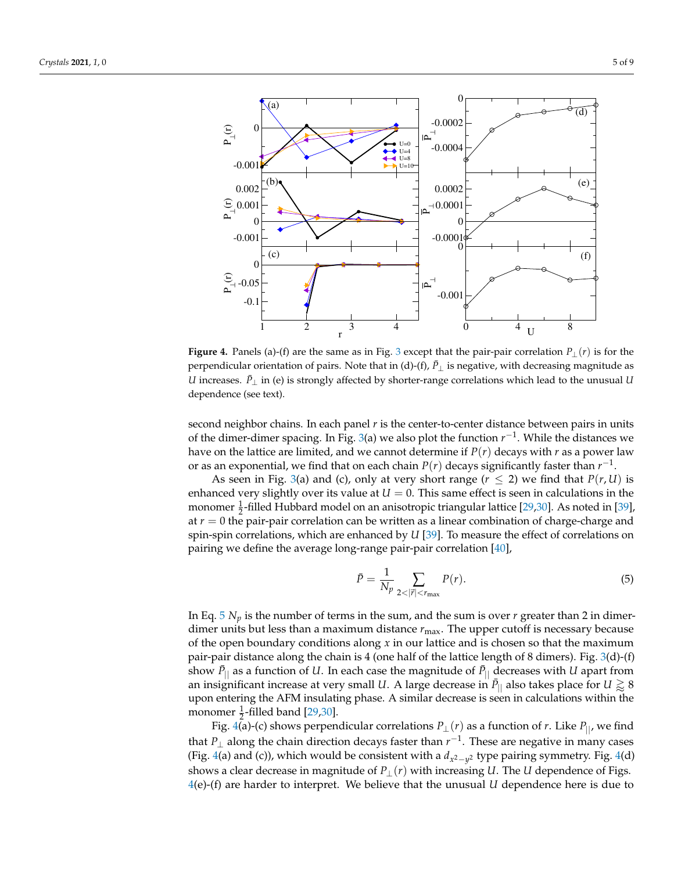<span id="page-4-1"></span>

**Figure 4.** Panels (a)-(f) are the same as in Fig. [3](#page-3-1) except that the pair-pair correlation  $P_{\perp}(r)$  is for the perpendicular orientation of pairs. Note that in (d)-(f),  $\bar{P}_\perp$  is negative, with decreasing magnitude as *U* increases.  $\bar{P}_⊥$  in (e) is strongly affected by shorter-range correlations which lead to the unusual *U* dependence (see text).

second neighbor chains. In each panel *r* is the center-to-center distance between pairs in units of the dimer-dimer spacing. In Fig. [3\(](#page-3-1)a) we also plot the function  $r^{-1}$ . While the distances we have on the lattice are limited, and we cannot determine if  $P(r)$  decays with *r* as a power law or as an exponential, we find that on each chain  $P(r)$  decays significantly faster than  $r^{-1}$ .

As seen in Fig. [3\(](#page-3-1)a) and (c), only at very short range  $(r \leq 2)$  we find that  $P(r, U)$  is enhanced very slightly over its value at  $U = 0$ . This same effect is seen in calculations in the monomer  $\frac{1}{2}$ -filled Hubbard model on an anisotropic triangular lattice [\[29](#page-8-1)[,30\]](#page-8-4). As noted in [\[39\]](#page-8-9), at  $r = 0$  the pair-pair correlation can be written as a linear combination of charge-charge and spin-spin correlations, which are enhanced by *U* [\[39\]](#page-8-9). To measure the effect of correlations on pairing we define the average long-range pair-pair correlation [\[40\]](#page-8-10),

<span id="page-4-0"></span>
$$
\bar{P} = \frac{1}{N_p} \sum_{2 < |\vec{r}| < r_{\text{max}}} P(r). \tag{5}
$$

In Eq.  $5 N_p$  $5 N_p$  is the number of terms in the sum, and the sum is over  $r$  greater than 2 in dimerdimer units but less than a maximum distance  $r_{\text{max}}$ . The upper cutoff is necessary because of the open boundary conditions along *x* in our lattice and is chosen so that the maximum pair-pair distance along the chain is 4 (one half of the lattice length of 8 dimers). Fig. [3\(](#page-3-1)d)-(f) show  $\bar{P}_{||}$  as a function of *U*. In each case the magnitude of  $\bar{P}_{||}$  decreases with *U* apart from an insignificant increase at very small  $U.$  A large decrease in  $\bar{P}_{||}$  also takes place for  $U \gtrapprox 8$ upon entering the AFM insulating phase. A similar decrease is seen in calculations within the monomer  $\frac{1}{2}$ -filled band [\[29](#page-8-1)[,30\]](#page-8-4).

Fig. [4\(](#page-4-1)a)-(c) shows perpendicular correlations  $P_{\perp}(r)$  as a function of *r*. Like  $P_{\parallel}$ , we find that *P*⊥ along the chain direction decays faster than *r* −1 . These are negative in many cases (Fig. [4\(](#page-4-1)a) and (c)), which would be consistent with a *d<sup>x</sup>* 2−*y* <sup>2</sup> type pairing symmetry. Fig. [4\(](#page-4-1)d) shows a clear decrease in magnitude of  $P_{\perp}(r)$  with increasing *U*. The *U* dependence of Figs. [4\(](#page-4-1)e)-(f) are harder to interpret. We believe that the unusual *U* dependence here is due to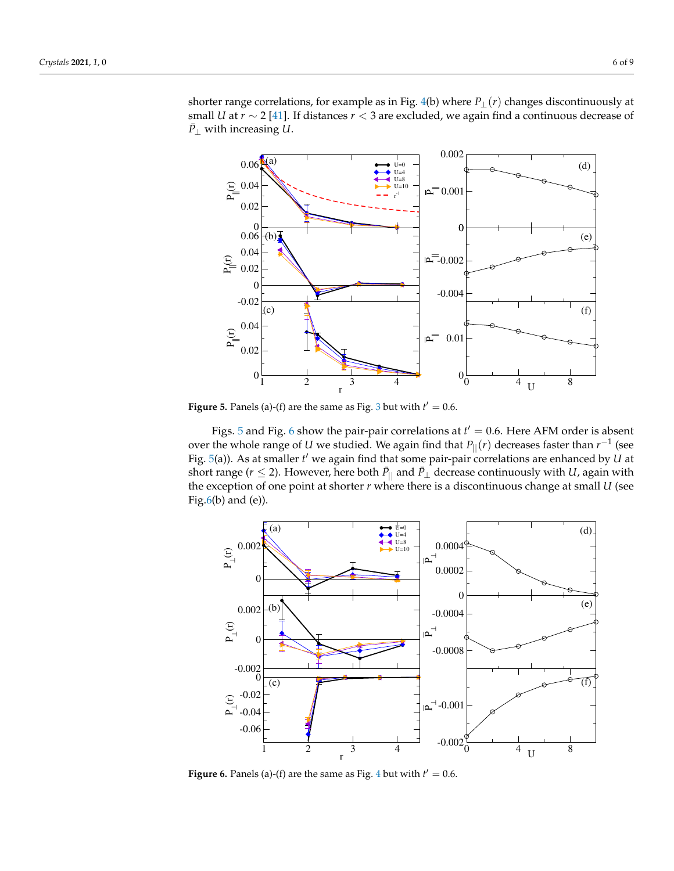<span id="page-5-0"></span>

**Figure 5.** Panels (a)-(f) are the same as Fig. [3](#page-3-1) but with  $t' = 0.6$ .

Figs. [5](#page-5-0) and Fig. [6](#page-5-1) show the pair-pair correlations at  $t' = 0.6$ . Here AFM order is absent over the whole range of *U* we studied. We again find that  $P_{||}(r)$  decreases faster than  $r^{-1}$  (see Fig. [5\(](#page-5-0)a)). As at smaller *t'* we again find that some pair-pair correlations are enhanced by *U* at short range ( $r \leq 2$ ). However, here both  $\bar{P}_{||}$  and  $\bar{P}_{\perp}$  decrease continuously with *U*, again with the exception of one point at shorter *r* where there is a discontinuous change at small *U* (see Fig. $6(b)$  and  $(e)$ ).

<span id="page-5-1"></span>

**Figure 6.** Panels (a)-(f) are the same as Fig. [4](#page-4-1) but with  $t' = 0.6$ .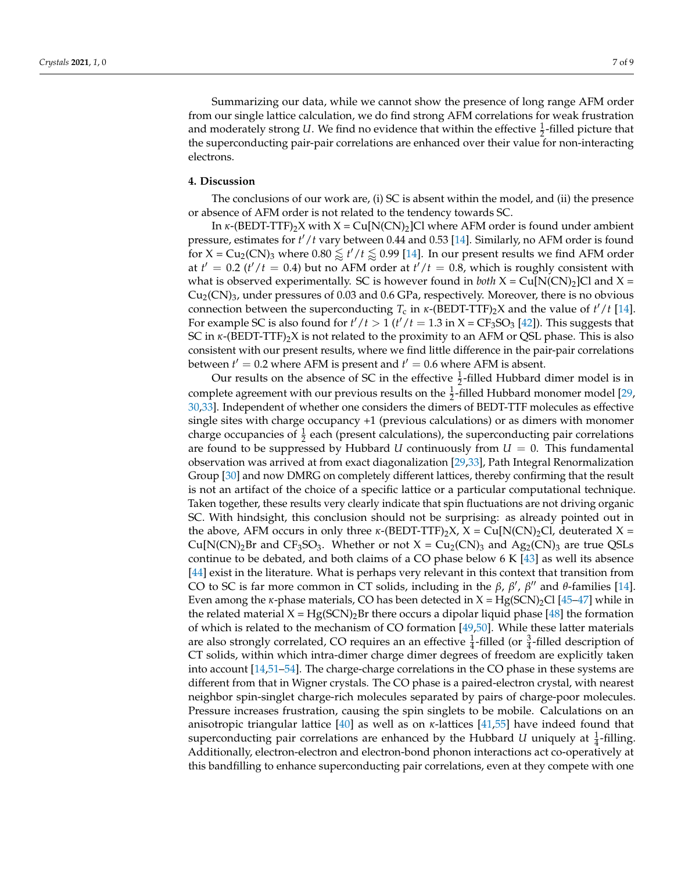Summarizing our data, while we cannot show the presence of long range AFM order from our single lattice calculation, we do find strong AFM correlations for weak frustration and moderately strong *U*. We find no evidence that within the effective  $\frac{1}{2}$ -filled picture that the superconducting pair-pair correlations are enhanced over their value for non-interacting electrons.

### **4. Discussion**

The conclusions of our work are, (i) SC is absent within the model, and (ii) the presence or absence of AFM order is not related to the tendency towards SC.

In  $\kappa$ -(BEDT-TTF)<sub>2</sub>X with  $X = Cu[N(CN)_2]$ Cl where AFM order is found under ambient pressure, estimates for  $t'/t$  vary between 0.44 and 0.53 [\[14\]](#page-7-6). Similarly, no AFM order is found for X = Cu<sub>2</sub>(CN)<sub>3</sub> where  $0.80 \lessapprox t'/t \lessapprox 0.99$  [\[14\]](#page-7-6). In our present results we find AFM order at  $t' = 0.2$  ( $t'/t = 0.4$ ) but no AFM order at  $t'/t = 0.8$ , which is roughly consistent with what is observed experimentally. SC is however found in *both*  $X = Cu[N(CN)_2]Cl$  and  $X =$  $Cu<sub>2</sub>(CN)<sub>3</sub>$ , under pressures of 0.03 and 0.6 GPa, respectively. Moreover, there is no obvious connection between the superconducting  $T_c$  in  $\kappa$ -(BEDT-TTF)<sub>2</sub>X and the value of  $t'/t$  [\[14\]](#page-7-6). For example SC is also found for  $t'/t > 1$  ( $t'/t = 1.3$  in X = CF<sub>3</sub>SO<sub>3</sub> [\[42\]](#page-8-12)). This suggests that SC in *κ*-(BEDT-TTF)<sub>2</sub>X is not related to the proximity to an AFM or QSL phase. This is also consistent with our present results, where we find little difference in the pair-pair correlations between  $t' = 0.2$  where AFM is present and  $t' = 0.6$  where AFM is absent.

Our results on the absence of SC in the effective  $\frac{1}{2}$ -filled Hubbard dimer model is in complete agreement with our previous results on the  $\frac{1}{2}$ -filled Hubbard monomer model [\[29,](#page-8-1) [30,](#page-8-4)[33\]](#page-8-2). Independent of whether one considers the dimers of BEDT-TTF molecules as effective single sites with charge occupancy +1 (previous calculations) or as dimers with monomer charge occupancies of  $\frac{1}{2}$  each (present calculations), the superconducting pair correlations are found to be suppressed by Hubbard *U* continuously from  $U = 0$ . This fundamental observation was arrived at from exact diagonalization [\[29](#page-8-1)[,33\]](#page-8-2), Path Integral Renormalization Group [\[30\]](#page-8-4) and now DMRG on completely different lattices, thereby confirming that the result is not an artifact of the choice of a specific lattice or a particular computational technique. Taken together, these results very clearly indicate that spin fluctuations are not driving organic SC. With hindsight, this conclusion should not be surprising: as already pointed out in the above, AFM occurs in only three  $\kappa$ -(BEDT-TTF)<sub>2</sub>X, X = Cu[N(CN)<sub>2</sub>Cl, deuterated X = Cu[N(CN)<sub>2</sub>Br and CF<sub>3</sub>SO<sub>3</sub>. Whether or not  $X = Cu_2(CN)_3$  and Ag<sub>2</sub>(CN)<sub>3</sub> are true QSLs continue to be debated, and both claims of a CO phase below  $6K[43]$  $6K[43]$  as well its absence [\[44\]](#page-8-14) exist in the literature. What is perhaps very relevant in this context that transition from CO to SC is far more common in CT solids, including in the  $β$ ,  $β'$ ,  $β''$  and  $θ$ -families [\[14\]](#page-7-6). Even among the *κ*-phase materials, CO has been detected in  $X = Hg(SCN)<sub>2</sub>Cl$  [\[45](#page-8-15)[–47\]](#page-8-16) while in the related material  $X = Hg(SCN)_2Br$  there occurs a dipolar liquid phase [\[48\]](#page-8-17) the formation of which is related to the mechanism of CO formation [\[49](#page-8-18)[,50\]](#page-8-19). While these latter materials are also strongly correlated, CO requires an an effective  $\frac{1}{4}$ -filled (or  $\frac{3}{4}$ -filled description of CT solids, within which intra-dimer charge dimer degrees of freedom are explicitly taken into account [\[14,](#page-7-6)[51–](#page-8-20)[54\]](#page-8-21). The charge-charge correlations in the CO phase in these systems are different from that in Wigner crystals. The CO phase is a paired-electron crystal, with nearest neighbor spin-singlet charge-rich molecules separated by pairs of charge-poor molecules. Pressure increases frustration, causing the spin singlets to be mobile. Calculations on an anisotropic triangular lattice [\[40\]](#page-8-10) as well as on *κ*-lattices [\[41](#page-8-11)[,55\]](#page-8-22) have indeed found that superconducting pair correlations are enhanced by the Hubbard *U* uniquely at  $\frac{1}{4}$ -filling. Additionally, electron-electron and electron-bond phonon interactions act co-operatively at this bandfilling to enhance superconducting pair correlations, even at they compete with one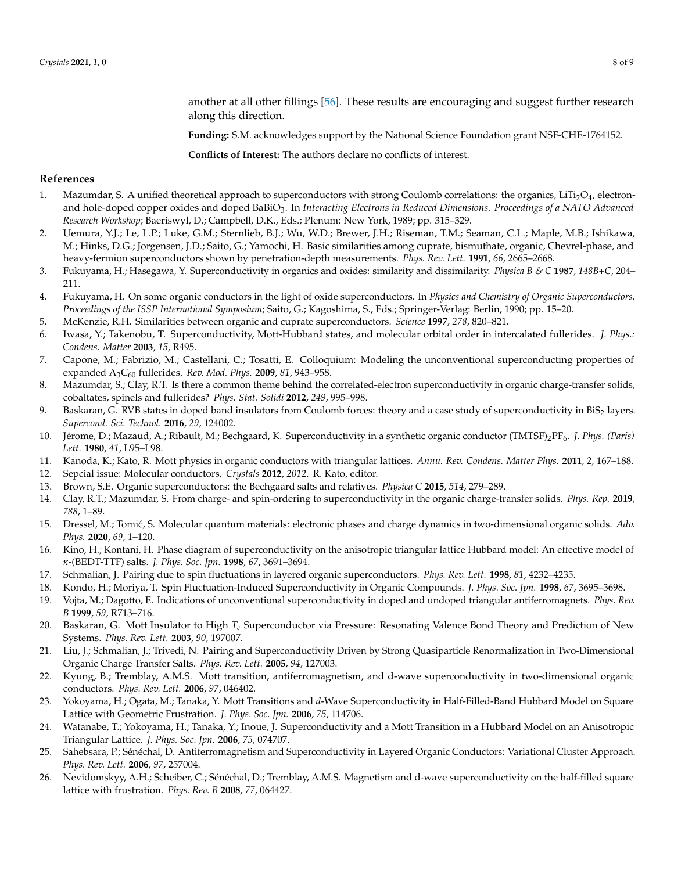another at all other fillings [\[56\]](#page-8-23). These results are encouraging and suggest further research along this direction.

**Funding:** S.M. acknowledges support by the National Science Foundation grant NSF-CHE-1764152.

**Conflicts of Interest:** The authors declare no conflicts of interest.

## **References**

- <span id="page-7-0"></span>1. Mazumdar, S. A unified theoretical approach to superconductors with strong Coulomb correlations: the organics, LiTi $_2$ O $_4$ , electronand hole-doped copper oxides and doped BaBiO3. In *Interacting Electrons in Reduced Dimensions. Proceedings of a NATO Advanced Research Workshop*; Baeriswyl, D.; Campbell, D.K., Eds.; Plenum: New York, 1989; pp. 315–329.
- 2. Uemura, Y.J.; Le, L.P.; Luke, G.M.; Sternlieb, B.J.; Wu, W.D.; Brewer, J.H.; Riseman, T.M.; Seaman, C.L.; Maple, M.B.; Ishikawa, M.; Hinks, D.G.; Jorgensen, J.D.; Saito, G.; Yamochi, H. Basic similarities among cuprate, bismuthate, organic, Chevrel-phase, and heavy-fermion superconductors shown by penetration-depth measurements. *Phys. Rev. Lett.* **1991**, *66*, 2665–2668.
- 3. Fukuyama, H.; Hasegawa, Y. Superconductivity in organics and oxides: similarity and dissimilarity. *Physica B & C* **1987**, *148B+C*, 204– 211.
- 4. Fukuyama, H. On some organic conductors in the light of oxide superconductors. In *Physics and Chemistry of Organic Superconductors. Proceedings of the ISSP International Symposium*; Saito, G.; Kagoshima, S., Eds.; Springer-Verlag: Berlin, 1990; pp. 15–20.
- 5. McKenzie, R.H. Similarities between organic and cuprate superconductors. *Science* **1997**, *278*, 820–821.
- 6. Iwasa, Y.; Takenobu, T. Superconductivity, Mott-Hubbard states, and molecular orbital order in intercalated fullerides. *J. Phys.: Condens. Matter* **2003**, *15*, R495.
- 7. Capone, M.; Fabrizio, M.; Castellani, C.; Tosatti, E. Colloquium: Modeling the unconventional superconducting properties of expanded A3C<sup>60</sup> fullerides. *Rev. Mod. Phys.* **2009**, *81*, 943–958.
- 8. Mazumdar, S.; Clay, R.T. Is there a common theme behind the correlated-electron superconductivity in organic charge-transfer solids, cobaltates, spinels and fullerides? *Phys. Stat. Solidi* **2012**, *249*, 995–998.
- <span id="page-7-1"></span>9. Baskaran, G. RVB states in doped band insulators from Coulomb forces: theory and a case study of superconductivity in BiS2 layers. *Supercond. Sci. Technol.* **2016**, *29*, 124002.
- <span id="page-7-2"></span>10. Jérome, D.; Mazaud, A.; Ribault, M.; Bechgaard, K. Superconductivity in a synthetic organic conductor (TMTSF)2PF6. *J. Phys. (Paris) Lett.* **1980**, *41*, L95–L98.
- <span id="page-7-3"></span>11. Kanoda, K.; Kato, R. Mott physics in organic conductors with triangular lattices. *Annu. Rev. Condens. Matter Phys.* **2011**, *2*, 167–188.
- 12. Sepcial issue: Molecular conductors. *Crystals* **2012**, *2012*. R. Kato, editor.
- 13. Brown, S.E. Organic superconductors: the Bechgaard salts and relatives. *Physica C* **2015**, *514*, 279–289.
- <span id="page-7-6"></span>14. Clay, R.T.; Mazumdar, S. From charge- and spin-ordering to superconductivity in the organic charge-transfer solids. *Phys. Rep.* **2019**, *788*, 1–89.
- <span id="page-7-4"></span>15. Dressel, M.; Tomić, S. Molecular quantum materials: electronic phases and charge dynamics in two-dimensional organic solids. Adv. *Phys.* **2020**, *69*, 1–120.
- <span id="page-7-5"></span>16. Kino, H.; Kontani, H. Phase diagram of superconductivity on the anisotropic triangular lattice Hubbard model: An effective model of *κ*-(BEDT-TTF) salts. *J. Phys. Soc. Jpn.* **1998**, *67*, 3691–3694.
- 17. Schmalian, J. Pairing due to spin fluctuations in layered organic superconductors. *Phys. Rev. Lett.* **1998**, *81*, 4232–4235.
- 18. Kondo, H.; Moriya, T. Spin Fluctuation-Induced Superconductivity in Organic Compounds. *J. Phys. Soc. Jpn.* **1998**, *67*, 3695–3698.
- 19. Vojta, M.; Dagotto, E. Indications of unconventional superconductivity in doped and undoped triangular antiferromagnets. *Phys. Rev. B* **1999**, *59*, R713–716.
- 20. Baskaran, G. Mott Insulator to High *Tc* Superconductor via Pressure: Resonating Valence Bond Theory and Prediction of New Systems. *Phys. Rev. Lett.* **2003**, *90*, 197007.
- 21. Liu, J.; Schmalian, J.; Trivedi, N. Pairing and Superconductivity Driven by Strong Quasiparticle Renormalization in Two-Dimensional Organic Charge Transfer Salts. *Phys. Rev. Lett.* **2005**, *94*, 127003.
- 22. Kyung, B.; Tremblay, A.M.S. Mott transition, antiferromagnetism, and d-wave superconductivity in two-dimensional organic conductors. *Phys. Rev. Lett.* **2006**, *97*, 046402.
- 23. Yokoyama, H.; Ogata, M.; Tanaka, Y. Mott Transitions and *d*-Wave Superconductivity in Half-Filled-Band Hubbard Model on Square Lattice with Geometric Frustration. *J. Phys. Soc. Jpn.* **2006**, *75*, 114706.
- 24. Watanabe, T.; Yokoyama, H.; Tanaka, Y.; Inoue, J. Superconductivity and a Mott Transition in a Hubbard Model on an Anisotropic Triangular Lattice. *J. Phys. Soc. Jpn.* **2006**, *75*, 074707.
- 25. Sahebsara, P.; Sénéchal, D. Antiferromagnetism and Superconductivity in Layered Organic Conductors: Variational Cluster Approach. *Phys. Rev. Lett.* **2006**, *97*, 257004.
- 26. Nevidomskyy, A.H.; Scheiber, C.; Sénéchal, D.; Tremblay, A.M.S. Magnetism and d-wave superconductivity on the half-filled square lattice with frustration. *Phys. Rev. B* **2008**, *77*, 064427.